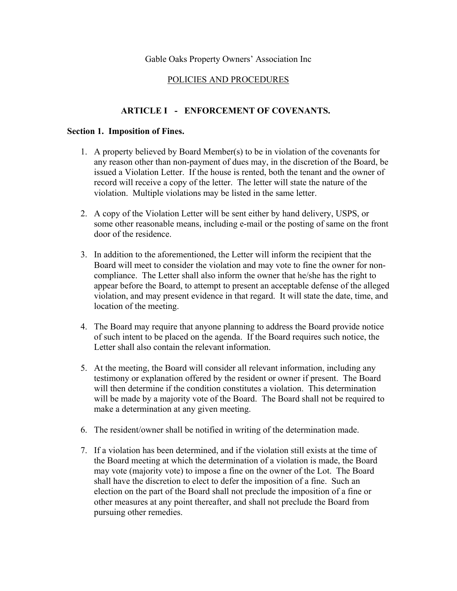### Gable Oaks Property Owners' Association Inc

### POLICIES AND PROCEDURES

# **ARTICLE I - ENFORCEMENT OF COVENANTS.**

#### **Section 1. Imposition of Fines.**

- 1. A property believed by Board Member(s) to be in violation of the covenants for any reason other than non-payment of dues may, in the discretion of the Board, be issued a Violation Letter. If the house is rented, both the tenant and the owner of record will receive a copy of the letter. The letter will state the nature of the violation. Multiple violations may be listed in the same letter.
- 2. A copy of the Violation Letter will be sent either by hand delivery, USPS, or some other reasonable means, including e-mail or the posting of same on the front door of the residence.
- 3. In addition to the aforementioned, the Letter will inform the recipient that the Board will meet to consider the violation and may vote to fine the owner for noncompliance. The Letter shall also inform the owner that he/she has the right to appear before the Board, to attempt to present an acceptable defense of the alleged violation, and may present evidence in that regard. It will state the date, time, and location of the meeting.
- 4. The Board may require that anyone planning to address the Board provide notice of such intent to be placed on the agenda. If the Board requires such notice, the Letter shall also contain the relevant information.
- 5. At the meeting, the Board will consider all relevant information, including any testimony or explanation offered by the resident or owner if present. The Board will then determine if the condition constitutes a violation. This determination will be made by a majority vote of the Board. The Board shall not be required to make a determination at any given meeting.
- 6. The resident/owner shall be notified in writing of the determination made.
- 7. If a violation has been determined, and if the violation still exists at the time of the Board meeting at which the determination of a violation is made, the Board may vote (majority vote) to impose a fine on the owner of the Lot. The Board shall have the discretion to elect to defer the imposition of a fine. Such an election on the part of the Board shall not preclude the imposition of a fine or other measures at any point thereafter, and shall not preclude the Board from pursuing other remedies.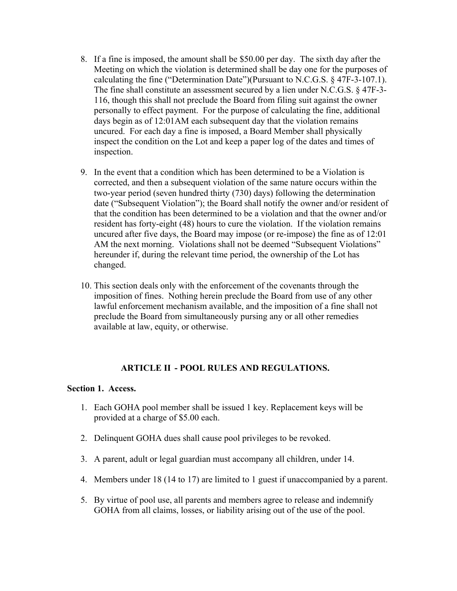- 8. If a fine is imposed, the amount shall be \$50.00 per day. The sixth day after the Meeting on which the violation is determined shall be day one for the purposes of calculating the fine ("Determination Date")(Pursuant to N.C.G.S. § 47F-3-107.1). The fine shall constitute an assessment secured by a lien under N.C.G.S. § 47F-3- 116, though this shall not preclude the Board from filing suit against the owner personally to effect payment. For the purpose of calculating the fine, additional days begin as of 12:01AM each subsequent day that the violation remains uncured. For each day a fine is imposed, a Board Member shall physically inspect the condition on the Lot and keep a paper log of the dates and times of inspection.
- 9. In the event that a condition which has been determined to be a Violation is corrected, and then a subsequent violation of the same nature occurs within the two-year period (seven hundred thirty (730) days) following the determination date ("Subsequent Violation"); the Board shall notify the owner and/or resident of that the condition has been determined to be a violation and that the owner and/or resident has forty-eight (48) hours to cure the violation. If the violation remains uncured after five days, the Board may impose (or re-impose) the fine as of 12:01 AM the next morning. Violations shall not be deemed "Subsequent Violations" hereunder if, during the relevant time period, the ownership of the Lot has changed.
- 10. This section deals only with the enforcement of the covenants through the imposition of fines. Nothing herein preclude the Board from use of any other lawful enforcement mechanism available, and the imposition of a fine shall not preclude the Board from simultaneously pursing any or all other remedies available at law, equity, or otherwise.

# **ARTICLE II - POOL RULES AND REGULATIONS.**

#### **Section 1. Access.**

- 1. Each GOHA pool member shall be issued 1 key. Replacement keys will be provided at a charge of \$5.00 each.
- 2. Delinquent GOHA dues shall cause pool privileges to be revoked.
- 3. A parent, adult or legal guardian must accompany all children, under 14.
- 4. Members under 18 (14 to 17) are limited to 1 guest if unaccompanied by a parent.
- 5. By virtue of pool use, all parents and members agree to release and indemnify GOHA from all claims, losses, or liability arising out of the use of the pool.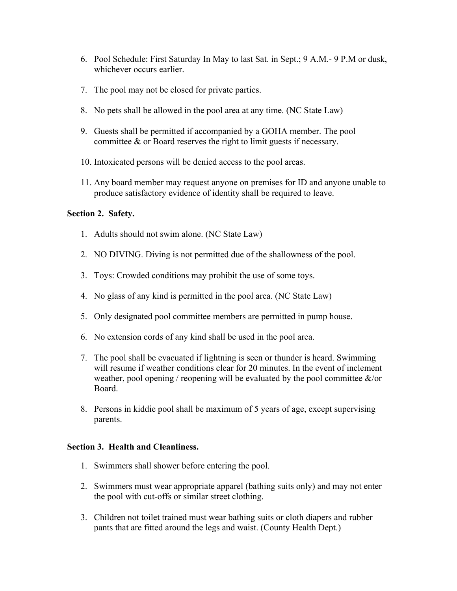- 6. Pool Schedule: First Saturday In May to last Sat. in Sept.; 9 A.M.- 9 P.M or dusk, whichever occurs earlier.
- 7. The pool may not be closed for private parties.
- 8. No pets shall be allowed in the pool area at any time. (NC State Law)
- 9. Guests shall be permitted if accompanied by a GOHA member. The pool committee & or Board reserves the right to limit guests if necessary.
- 10. Intoxicated persons will be denied access to the pool areas.
- 11. Any board member may request anyone on premises for ID and anyone unable to produce satisfactory evidence of identity shall be required to leave.

### **Section 2. Safety.**

- 1. Adults should not swim alone. (NC State Law)
- 2. NO DIVING. Diving is not permitted due of the shallowness of the pool.
- 3. Toys: Crowded conditions may prohibit the use of some toys.
- 4. No glass of any kind is permitted in the pool area. (NC State Law)
- 5. Only designated pool committee members are permitted in pump house.
- 6. No extension cords of any kind shall be used in the pool area.
- 7. The pool shall be evacuated if lightning is seen or thunder is heard. Swimming will resume if weather conditions clear for 20 minutes. In the event of inclement weather, pool opening / reopening will be evaluated by the pool committee  $\&$ /or Board.
- 8. Persons in kiddie pool shall be maximum of 5 years of age, except supervising parents.

### **Section 3. Health and Cleanliness.**

- 1. Swimmers shall shower before entering the pool.
- 2. Swimmers must wear appropriate apparel (bathing suits only) and may not enter the pool with cut-offs or similar street clothing.
- 3. Children not toilet trained must wear bathing suits or cloth diapers and rubber pants that are fitted around the legs and waist. (County Health Dept.)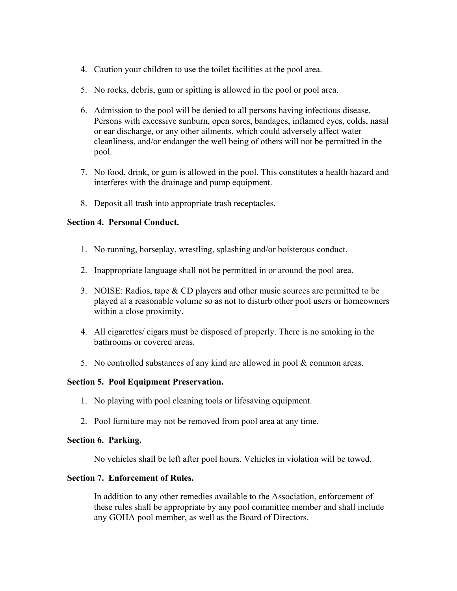- 4. Caution your children to use the toilet facilities at the pool area.
- 5. No rocks, debris, gum or spitting is allowed in the pool or pool area.
- 6. Admission to the pool will be denied to all persons having infectious disease. Persons with excessive sunburn, open sores, bandages, inflamed eyes, colds, nasal or ear discharge, or any other ailments, which could adversely affect water cleanliness, and/or endanger the well being of others will not be permitted in the pool.
- 7. No food, drink, or gum is allowed in the pool. This constitutes a health hazard and interferes with the drainage and pump equipment.
- 8. Deposit all trash into appropriate trash receptacles.

# **Section 4. Personal Conduct.**

- 1. No running, horseplay, wrestling, splashing and/or boisterous conduct.
- 2. Inappropriate language shall not be permitted in or around the pool area.
- 3. NOISE: Radios, tape & CD players and other music sources are permitted to be played at a reasonable volume so as not to disturb other pool users or homeowners within a close proximity.
- 4. All cigarettes/ cigars must be disposed of properly. There is no smoking in the bathrooms or covered areas.
- 5. No controlled substances of any kind are allowed in pool & common areas.

### **Section 5. Pool Equipment Preservation.**

- 1. No playing with pool cleaning tools or lifesaving equipment.
- 2. Pool furniture may not be removed from pool area at any time.

### **Section 6. Parking.**

No vehicles shall be left after pool hours. Vehicles in violation will be towed.

### **Section 7. Enforcement of Rules.**

In addition to any other remedies available to the Association, enforcement of these rules shall be appropriate by any pool committee member and shall include any GOHA pool member, as well as the Board of Directors.